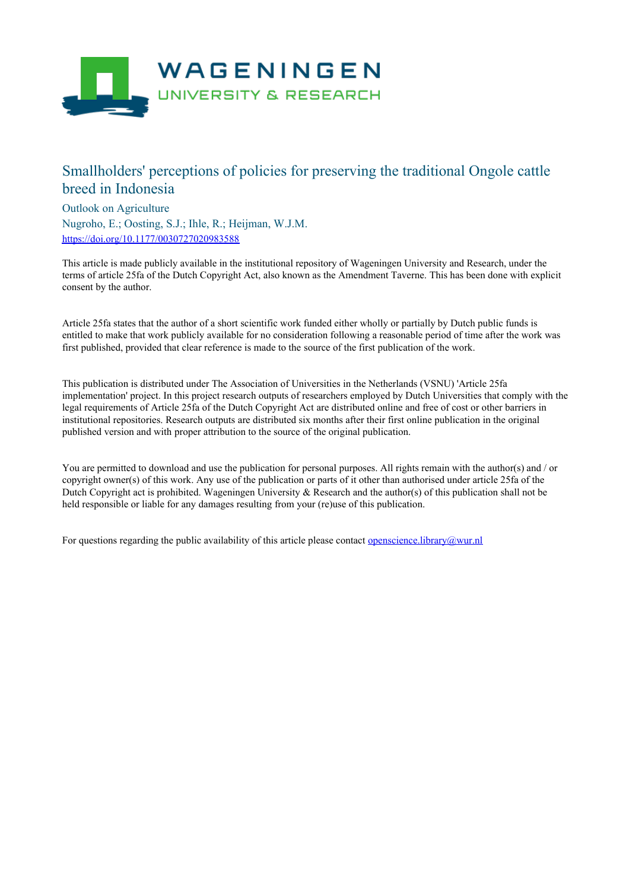

## Smallholders' perceptions of policies for preserving the traditional Ongole cattle breed in Indonesia

Outlook on Agriculture

Nugroho, E.; Oosting, S.J.; Ihle, R.; Heijman, W.J.M. <https://doi.org/10.1177/0030727020983588>

This article is made publicly available in the institutional repository of Wageningen University and Research, under the terms of article 25fa of the Dutch Copyright Act, also known as the Amendment Taverne. This has been done with explicit consent by the author.

Article 25fa states that the author of a short scientific work funded either wholly or partially by Dutch public funds is entitled to make that work publicly available for no consideration following a reasonable period of time after the work was first published, provided that clear reference is made to the source of the first publication of the work.

This publication is distributed under The Association of Universities in the Netherlands (VSNU) 'Article 25fa implementation' project. In this project research outputs of researchers employed by Dutch Universities that comply with the legal requirements of Article 25fa of the Dutch Copyright Act are distributed online and free of cost or other barriers in institutional repositories. Research outputs are distributed six months after their first online publication in the original published version and with proper attribution to the source of the original publication.

You are permitted to download and use the publication for personal purposes. All rights remain with the author(s) and / or copyright owner(s) of this work. Any use of the publication or parts of it other than authorised under article 25fa of the Dutch Copyright act is prohibited. Wageningen University & Research and the author(s) of this publication shall not be held responsible or liable for any damages resulting from your (re)use of this publication.

For questions regarding the public availability of this article please contact [openscience.library@wur.nl](mailto:openscience.library@wur.nl)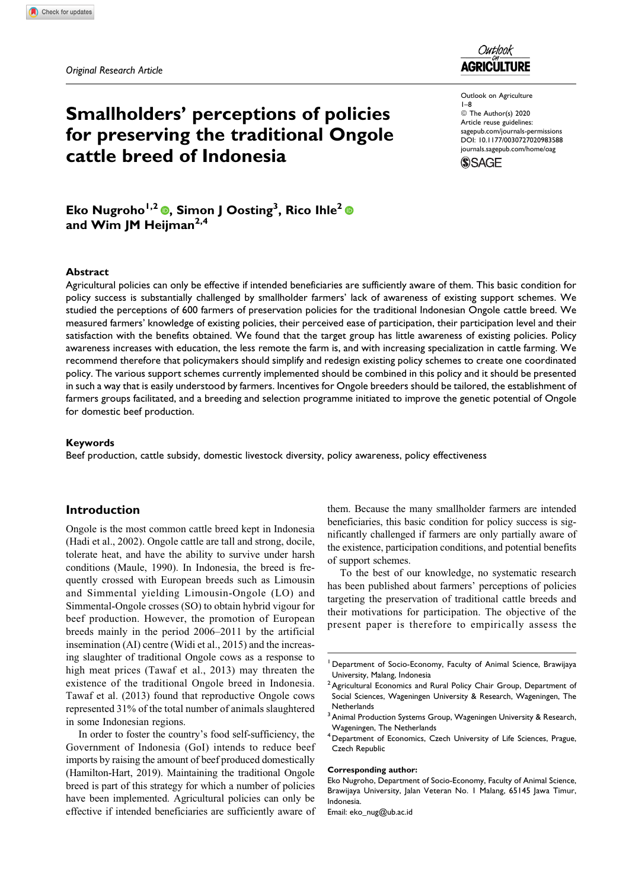*Original Research Article*



Outlook on Agriculture 1–8 © The Author(s) 2020 Article reuse guidelines: [sagepub.com/journals-permissions](https://sagepub.com/journals-permissions) [DOI: 10.1177/0030727020983588](https://doi.org/10.1177/0030727020983588) [journals.sagepub.com/home/oag](http://journals.sagepub.com/home/oag)**SSAGE** 

# **Smallholders' perceptions of policies for preserving the traditional Ongole cattle breed of Indonesia**

**Eko Nugroho1,2 , Simon J Oosting<sup>3</sup> , Rico Ihle2 and Wim JM Heijman2,4**

#### **Abstract**

Agricultural policies can only be effective if intended beneficiaries are sufficiently aware of them. This basic condition for policy success is substantially challenged by smallholder farmers' lack of awareness of existing support schemes. We studied the perceptions of 600 farmers of preservation policies for the traditional Indonesian Ongole cattle breed. We measured farmers' knowledge of existing policies, their perceived ease of participation, their participation level and their satisfaction with the benefits obtained. We found that the target group has little awareness of existing policies. Policy awareness increases with education, the less remote the farm is, and with increasing specialization in cattle farming. We recommend therefore that policymakers should simplify and redesign existing policy schemes to create one coordinated policy. The various support schemes currently implemented should be combined in this policy and it should be presented in such a way that is easily understood by farmers. Incentives for Ongole breeders should be tailored, the establishment of farmers groups facilitated, and a breeding and selection programme initiated to improve the genetic potential of Ongole for domestic beef production.

#### **Keywords**

Beef production, cattle subsidy, domestic livestock diversity, policy awareness, policy effectiveness

### **Introduction**

Ongole is the most common cattle breed kept in Indonesia (Hadi et al., 2002). Ongole cattle are tall and strong, docile, tolerate heat, and have the ability to survive under harsh conditions (Maule, 1990). In Indonesia, the breed is frequently crossed with European breeds such as Limousin and Simmental yielding Limousin-Ongole (LO) and Simmental-Ongole crosses (SO) to obtain hybrid vigour for beef production. However, the promotion of European breeds mainly in the period 2006–2011 by the artificial insemination (AI) centre (Widi et al., 2015) and the increasing slaughter of traditional Ongole cows as a response to high meat prices (Tawaf et al., 2013) may threaten the existence of the traditional Ongole breed in Indonesia. Tawaf et al. (2013) found that reproductive Ongole cows represented 31% of the total number of animals slaughtered in some Indonesian regions.

In order to foster the country's food self-sufficiency, the Government of Indonesia (GoI) intends to reduce beef imports by raising the amount of beef produced domestically (Hamilton-Hart, 2019). Maintaining the traditional Ongole breed is part of this strategy for which a number of policies have been implemented. Agricultural policies can only be effective if intended beneficiaries are sufficiently aware of them. Because the many smallholder farmers are intended beneficiaries, this basic condition for policy success is significantly challenged if farmers are only partially aware of the existence, participation conditions, and potential benefits of support schemes.

To the best of our knowledge, no systematic research has been published about farmers' perceptions of policies targeting the preservation of traditional cattle breeds and their motivations for participation. The objective of the present paper is therefore to empirically assess the

#### **Corresponding author:**

<sup>&</sup>lt;sup>1</sup> Department of Socio-Economy, Faculty of Animal Science, Brawijaya University, Malang, Indonesia

<sup>&</sup>lt;sup>2</sup> Agricultural Economics and Rural Policy Chair Group, Department of Social Sciences, Wageningen University & Research, Wageningen, The **Netherlands** 

 $3$  Animal Production Systems Group, Wageningen University & Research, Wageningen, The Netherlands

<sup>4</sup> Department of Economics, Czech University of Life Sciences, Prague, Czech Republic

Eko Nugroho, Department of Socio-Economy, Faculty of Animal Science, Brawijaya University, Jalan Veteran No. 1 Malang, 65145 Jawa Timur, Indonesia.

Email: [eko\\_nug@ub.ac.id](mailto:eko_nug@ub.ac.id)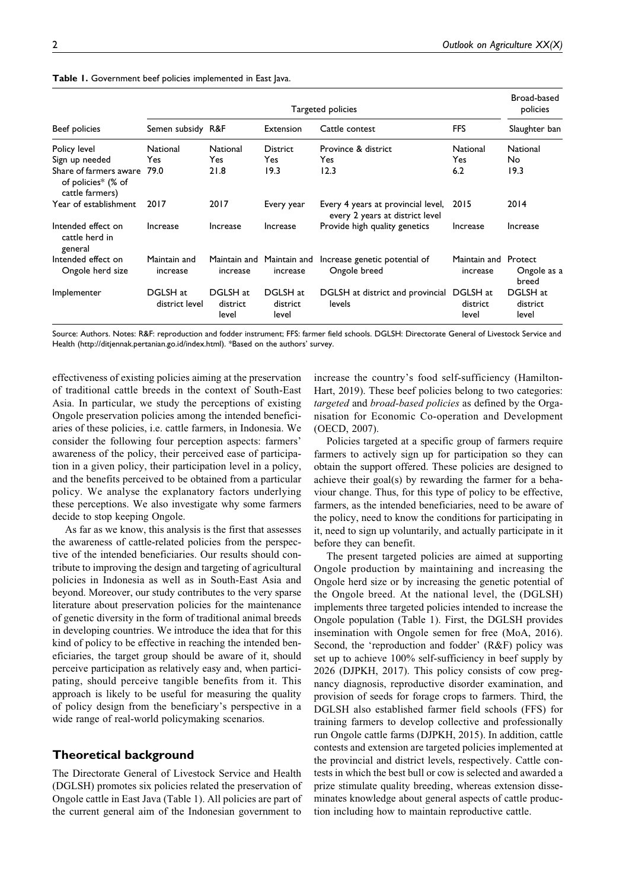| Beef policies                                                   | Targeted policies          |                               |                               |                                                                       |                               |                                 |
|-----------------------------------------------------------------|----------------------------|-------------------------------|-------------------------------|-----------------------------------------------------------------------|-------------------------------|---------------------------------|
|                                                                 | Semen subsidy R&F          |                               | <b>Extension</b>              | Cattle contest                                                        | <b>FFS</b>                    | Slaughter ban                   |
| Policy level                                                    | National                   | <b>National</b>               | <b>District</b>               | Province & district                                                   | <b>National</b>               | National                        |
| Sign up needed                                                  | <b>Yes</b>                 | Yes.                          | Yes                           | Yes                                                                   | Yes.                          | No.                             |
| Share of farmers aware<br>of policies* (% of<br>cattle farmers) | 79.0                       | 21.8                          | 19.3                          | 12.3                                                                  | 6.2                           | 19.3                            |
| Year of establishment                                           | 2017                       | 2017                          | Every year                    | Every 4 years at provincial level,<br>every 2 years at district level | 2015                          | 2014                            |
| Intended effect on<br>cattle herd in<br>general                 | Increase                   | Increase                      | Increase                      | Provide high quality genetics                                         | Increase                      | Increase                        |
| Intended effect on<br>Ongole herd size                          | Maintain and<br>increase   | Maintain and<br>increase      | Maintain and<br>increase      | Increase genetic potential of<br>Ongole breed                         | Maintain and<br>increase      | Protect<br>Ongole as a<br>breed |
| Implementer                                                     | DGLSH at<br>district level | DGLSH at<br>district<br>level | DGLSH at<br>district<br>level | DGLSH at district and provincial<br>levels                            | DGLSH at<br>district<br>level | DGLSH at<br>district<br>level   |
|                                                                 |                            |                               |                               |                                                                       |                               |                                 |

**Table 1.** Government beef policies implemented in East Java.

Source: Authors. Notes: R&F: reproduction and fodder instrument; FFS: farmer field schools. DGLSH: Directorate General of Livestock Service and Health ([http://ditjennak.pertanian.go.id/index.html\)](http://ditjennak.pertanian.go.id/index.html). \*Based on the authors' survey.

effectiveness of existing policies aiming at the preservation of traditional cattle breeds in the context of South-East Asia. In particular, we study the perceptions of existing Ongole preservation policies among the intended beneficiaries of these policies, i.e. cattle farmers, in Indonesia. We consider the following four perception aspects: farmers' awareness of the policy, their perceived ease of participation in a given policy, their participation level in a policy, and the benefits perceived to be obtained from a particular policy. We analyse the explanatory factors underlying these perceptions. We also investigate why some farmers decide to stop keeping Ongole.

As far as we know, this analysis is the first that assesses the awareness of cattle-related policies from the perspective of the intended beneficiaries. Our results should contribute to improving the design and targeting of agricultural policies in Indonesia as well as in South-East Asia and beyond. Moreover, our study contributes to the very sparse literature about preservation policies for the maintenance of genetic diversity in the form of traditional animal breeds in developing countries. We introduce the idea that for this kind of policy to be effective in reaching the intended beneficiaries, the target group should be aware of it, should perceive participation as relatively easy and, when participating, should perceive tangible benefits from it. This approach is likely to be useful for measuring the quality of policy design from the beneficiary's perspective in a wide range of real-world policymaking scenarios.

### **Theoretical background**

The Directorate General of Livestock Service and Health (DGLSH) promotes six policies related the preservation of Ongole cattle in East Java (Table 1). All policies are part of the current general aim of the Indonesian government to

increase the country's food self-sufficiency (Hamilton-Hart, 2019). These beef policies belong to two categories: targeted and broad-based policies as defined by the Organisation for Economic Co-operation and Development (OECD, 2007).

Policies targeted at a specific group of farmers require farmers to actively sign up for participation so they can obtain the support offered. These policies are designed to achieve their goal(s) by rewarding the farmer for a behaviour change. Thus, for this type of policy to be effective, farmers, as the intended beneficiaries, need to be aware of the policy, need to know the conditions for participating in it, need to sign up voluntarily, and actually participate in it before they can benefit.

The present targeted policies are aimed at supporting Ongole production by maintaining and increasing the Ongole herd size or by increasing the genetic potential of the Ongole breed. At the national level, the (DGLSH) implements three targeted policies intended to increase the Ongole population (Table 1). First, the DGLSH provides insemination with Ongole semen for free (MoA, 2016). Second, the 'reproduction and fodder' (R&F) policy was set up to achieve 100% self-sufficiency in beef supply by 2026 (DJPKH, 2017). This policy consists of cow pregnancy diagnosis, reproductive disorder examination, and provision of seeds for forage crops to farmers. Third, the DGLSH also established farmer field schools (FFS) for training farmers to develop collective and professionally run Ongole cattle farms (DJPKH, 2015). In addition, cattle contests and extension are targeted policies implemented at the provincial and district levels, respectively. Cattle contests in which the best bull or cow is selected and awarded a prize stimulate quality breeding, whereas extension disseminates knowledge about general aspects of cattle production including how to maintain reproductive cattle.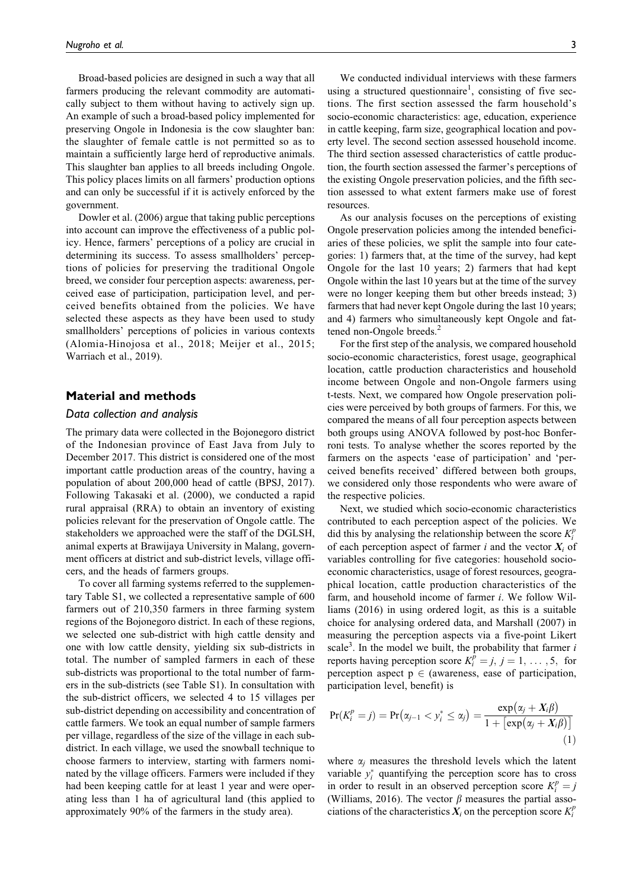Broad-based policies are designed in such a way that all farmers producing the relevant commodity are automatically subject to them without having to actively sign up. An example of such a broad-based policy implemented for preserving Ongole in Indonesia is the cow slaughter ban: the slaughter of female cattle is not permitted so as to maintain a sufficiently large herd of reproductive animals. This slaughter ban applies to all breeds including Ongole. This policy places limits on all farmers' production options and can only be successful if it is actively enforced by the government.

Dowler et al. (2006) argue that taking public perceptions into account can improve the effectiveness of a public policy. Hence, farmers' perceptions of a policy are crucial in determining its success. To assess smallholders' perceptions of policies for preserving the traditional Ongole breed, we consider four perception aspects: awareness, perceived ease of participation, participation level, and perceived benefits obtained from the policies. We have selected these aspects as they have been used to study smallholders' perceptions of policies in various contexts (Alomia-Hinojosa et al., 2018; Meijer et al., 2015; Warriach et al., 2019).

### **Material and methods**

### *Data collection and analysis*

The primary data were collected in the Bojonegoro district of the Indonesian province of East Java from July to December 2017. This district is considered one of the most important cattle production areas of the country, having a population of about 200,000 head of cattle (BPSJ, 2017). Following Takasaki et al. (2000), we conducted a rapid rural appraisal (RRA) to obtain an inventory of existing policies relevant for the preservation of Ongole cattle. The stakeholders we approached were the staff of the DGLSH, animal experts at Brawijaya University in Malang, government officers at district and sub-district levels, village officers, and the heads of farmers groups.

To cover all farming systems referred to the supplementary Table S1, we collected a representative sample of 600 farmers out of 210,350 farmers in three farming system regions of the Bojonegoro district. In each of these regions, we selected one sub-district with high cattle density and one with low cattle density, yielding six sub-districts in total. The number of sampled farmers in each of these sub-districts was proportional to the total number of farmers in the sub-districts (see Table S1). In consultation with the sub-district officers, we selected 4 to 15 villages per sub-district depending on accessibility and concentration of cattle farmers. We took an equal number of sample farmers per village, regardless of the size of the village in each subdistrict. In each village, we used the snowball technique to choose farmers to interview, starting with farmers nominated by the village officers. Farmers were included if they had been keeping cattle for at least 1 year and were operating less than 1 ha of agricultural land (this applied to approximately 90% of the farmers in the study area).

socio-economic characteristics: age, education, experience in cattle keeping, farm size, geographical location and poverty level. The second section assessed household income. The third section assessed characteristics of cattle production, the fourth section assessed the farmer's perceptions of the existing Ongole preservation policies, and the fifth section assessed to what extent farmers make use of forest resources.

As our analysis focuses on the perceptions of existing Ongole preservation policies among the intended beneficiaries of these policies, we split the sample into four categories: 1) farmers that, at the time of the survey, had kept Ongole for the last 10 years; 2) farmers that had kept Ongole within the last 10 years but at the time of the survey were no longer keeping them but other breeds instead; 3) farmers that had never kept Ongole during the last 10 years; and 4) farmers who simultaneously kept Ongole and fattened non-Ongole breeds.<sup>2</sup>

For the first step of the analysis, we compared household socio-economic characteristics, forest usage, geographical location, cattle production characteristics and household income between Ongole and non-Ongole farmers using t-tests. Next, we compared how Ongole preservation policies were perceived by both groups of farmers. For this, we compared the means of all four perception aspects between both groups using ANOVA followed by post-hoc Bonferroni tests. To analyse whether the scores reported by the farmers on the aspects 'ease of participation' and 'perceived benefits received' differed between both groups, we considered only those respondents who were aware of the respective policies.

Next, we studied which socio-economic characteristics contributed to each perception aspect of the policies. We did this by analysing the relationship between the score  $K_i^p$ of each perception aspect of farmer i and the vector  $X_i$  of variables controlling for five categories: household socioeconomic characteristics, usage of forest resources, geographical location, cattle production characteristics of the farm, and household income of farmer i. We follow Williams (2016) in using ordered logit, as this is a suitable choice for analysing ordered data, and Marshall (2007) in measuring the perception aspects via a five-point Likert scale<sup>3</sup>. In the model we built, the probability that farmer  $i$ reports having perception score  $K_i^{\tilde{p}} = j, j = 1, ..., 5$ , for perception aspect  $p \in$  (awareness, ease of participation, participation level, benefit) is

$$
Pr(K_i^p = j) = Pr(\alpha_{j-1} < \gamma_i^* \leq \alpha_j) = \frac{\exp(\alpha_j + X_i \beta)}{1 + [\exp(\alpha_j + X_i \beta)]} \tag{1}
$$

where  $\alpha_i$  measures the threshold levels which the latent variable  $y_i^*$  quantifying the perception score has to cross in order to result in an observed perception score  $K_i^p = j$ (Williams, 2016). The vector  $\beta$  measures the partial associations of the characteristics  $X_i$  on the perception score  $K_i^p$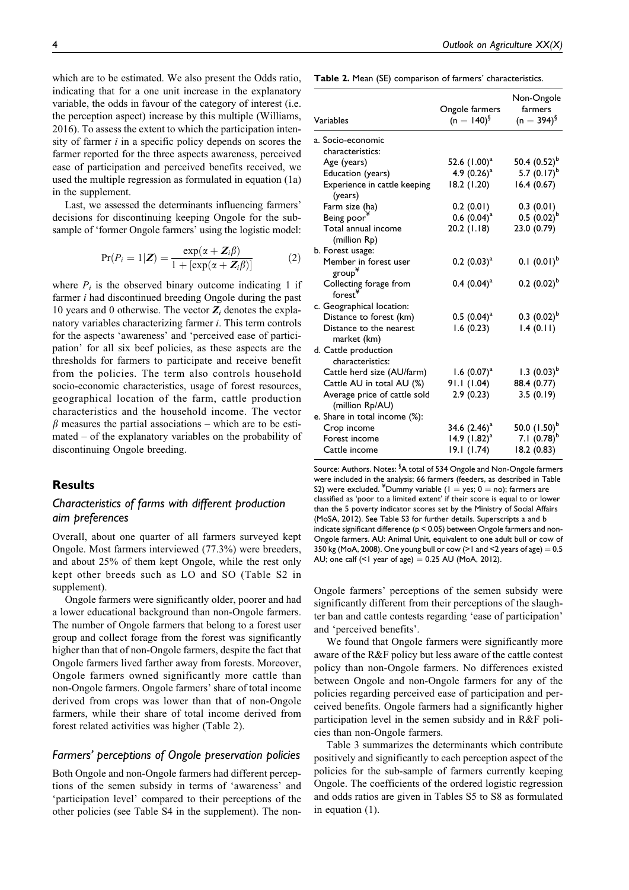which are to be estimated. We also present the Odds ratio, indicating that for a one unit increase in the explanatory variable, the odds in favour of the category of interest (i.e. the perception aspect) increase by this multiple (Williams, 2016). To assess the extent to which the participation intensity of farmer  $i$  in a specific policy depends on scores the farmer reported for the three aspects awareness, perceived ease of participation and perceived benefits received, we used the multiple regression as formulated in equation (1a) in the supplement.

Last, we assessed the determinants influencing farmers' decisions for discontinuing keeping Ongole for the subsample of 'former Ongole farmers' using the logistic model:

$$
Pr(P_i = 1 | \mathbf{Z}) = \frac{\exp(\alpha + \mathbf{Z}_i \beta)}{1 + [\exp(\alpha + \mathbf{Z}_i \beta)]}
$$
(2)

where  $P_i$  is the observed binary outcome indicating 1 if farmer i had discontinued breeding Ongole during the past 10 years and 0 otherwise. The vector  $Z_i$  denotes the explanatory variables characterizing farmer i. This term controls for the aspects 'awareness' and 'perceived ease of participation' for all six beef policies, as these aspects are the thresholds for farmers to participate and receive benefit from the policies. The term also controls household socio-economic characteristics, usage of forest resources, geographical location of the farm, cattle production characteristics and the household income. The vector  $\beta$  measures the partial associations – which are to be estimated – of the explanatory variables on the probability of discontinuing Ongole breeding.

### **Results**

### *Characteristics of farms with different production aim preferences*

Overall, about one quarter of all farmers surveyed kept Ongole. Most farmers interviewed (77.3%) were breeders, and about 25% of them kept Ongole, while the rest only kept other breeds such as LO and SO (Table S2 in supplement).

Ongole farmers were significantly older, poorer and had a lower educational background than non-Ongole farmers. The number of Ongole farmers that belong to a forest user group and collect forage from the forest was significantly higher than that of non-Ongole farmers, despite the fact that Ongole farmers lived farther away from forests. Moreover, Ongole farmers owned significantly more cattle than non-Ongole farmers. Ongole farmers' share of total income derived from crops was lower than that of non-Ongole farmers, while their share of total income derived from forest related activities was higher (Table 2).

### *Farmers' perceptions of Ongole preservation policies*

Both Ongole and non-Ongole farmers had different perceptions of the semen subsidy in terms of 'awareness' and 'participation level' compared to their perceptions of the other policies (see Table S4 in the supplement). The non-

**Table 2.** Mean (SE) comparison of farmers' characteristics.

| Variables                                       | Ongole farmers<br>$(n = 140)^{6}$ | Non-Ongole<br>farmers<br>$(n = 394)^9$ |
|-------------------------------------------------|-----------------------------------|----------------------------------------|
| a. Socio-economic                               |                                   |                                        |
| characteristics:                                |                                   |                                        |
| Age (years)                                     | 52.6 $(1.00)^a$                   | 50.4 $(0.52)^{b}$                      |
| Education (years)                               | 4.9 $(0.26)^a$                    | 5.7 $(0.17)^b$                         |
| Experience in cattle keeping<br>(years)         | 18.2 (1.20)                       | 16.4(0.67)                             |
| Farm size (ha)                                  | 0.2(0.01)                         | 0.3(0.01)                              |
| Being poor <sup>*</sup>                         | $0.6~(0.04)^a$                    | $0.5(0.02)^{b}$                        |
| Total annual income<br>(million Rp)             | $20.2$ (1.18)                     | 23.0 (0.79)                            |
| b. Forest usage:                                |                                   |                                        |
| Member in forest user<br>group¥                 | $0.2$ $(0.03)^{a}$                | $0.1~(0.01)^{b}$                       |
| Collecting forage from<br>$f$ orest $^*$        | $0.4~(0.04)^a$                    | $0.2$ $(0.02)^{b}$                     |
| c. Geographical location:                       |                                   |                                        |
| Distance to forest (km)                         | $0.5$ $(0.04)^a$                  | $0.3~(0.02)^{b}$                       |
| Distance to the nearest<br>market (km)          | 1.6(0.23)                         | 1.4(0.11)                              |
| d. Cattle production<br>characteristics:        |                                   |                                        |
| Cattle herd size (AU/farm)                      | 1.6 $(0.07)^{a}$                  | 1.3 $(0.03)^{b}$                       |
| Cattle AU in total AU (%)                       | 91.1 (1.04)                       | 88.4 (0.77)                            |
| Average price of cattle sold<br>(million Rp/AU) | 2.9(0.23)                         | 3.5(0.19)                              |
| e. Share in total income (%):                   |                                   |                                        |
| Crop income                                     | 34.6 $(2.46)^a$                   | 50.0 $(1.50)^b$                        |
| Forest income                                   | 14.9 $(1.82)^a$                   | 7.1 $(0.78)^{b}$                       |
| Cattle income                                   | 19.1(1.74)                        | 18.2 (0.83)                            |

Source: Authors. Notes: <sup>§</sup>A total of 534 Ongole and Non-Ongole farmers were included in the analysis; 66 farmers (feeders, as described in Table S2) were excluded.  $^{4}$ Dummy variable (1 = yes; 0 = no); farmers are classified as 'poor to a limited extent' if their score is equal to or lower than the 5 poverty indicator scores set by the Ministry of Social Affairs (MoSA, 2012). See Table S3 for further details. Superscripts a and b indicate significant difference (p < 0.05) between Ongole farmers and non-Ongole farmers. AU: Animal Unit, equivalent to one adult bull or cow of 350 kg (MoA, 2008). One young bull or cow (>1 and <2 years of age)  $= 0.5$ AU; one calf  $($ <1 year of age $) = 0.25$  AU (MoA, 2012).

Ongole farmers' perceptions of the semen subsidy were significantly different from their perceptions of the slaughter ban and cattle contests regarding 'ease of participation' and 'perceived benefits'.

We found that Ongole farmers were significantly more aware of the R&F policy but less aware of the cattle contest policy than non-Ongole farmers. No differences existed between Ongole and non-Ongole farmers for any of the policies regarding perceived ease of participation and perceived benefits. Ongole farmers had a significantly higher participation level in the semen subsidy and in R&F policies than non-Ongole farmers.

Table 3 summarizes the determinants which contribute positively and significantly to each perception aspect of the policies for the sub-sample of farmers currently keeping Ongole. The coefficients of the ordered logistic regression and odds ratios are given in Tables S5 to S8 as formulated in equation (1).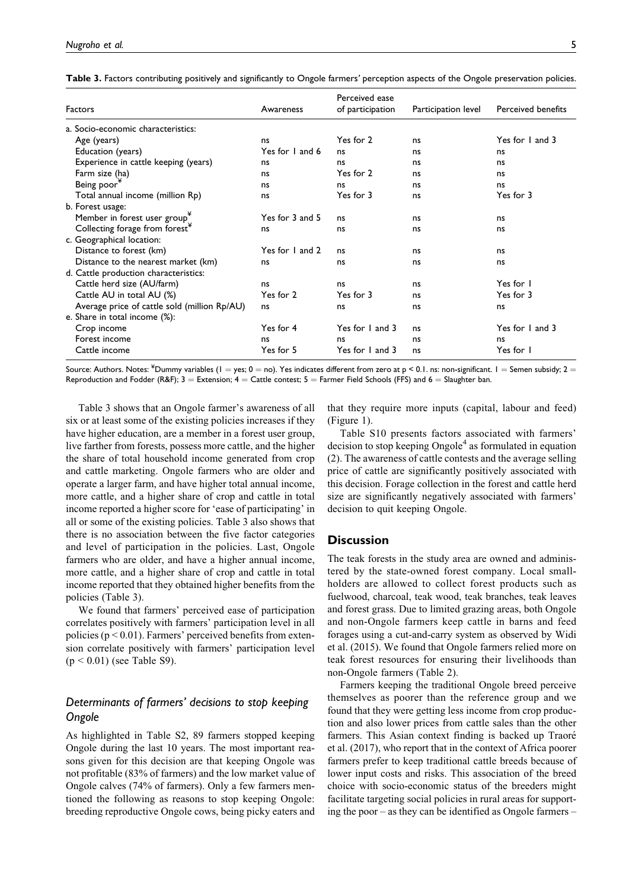| <b>Table 3.</b> Factors contributing positively and significantly to Ongole farmers' perception aspects of the Ongole preservation policies. |  |  |  |
|----------------------------------------------------------------------------------------------------------------------------------------------|--|--|--|
|                                                                                                                                              |  |  |  |

|                                              |                 | Perceived ease   |                     |                           |  |
|----------------------------------------------|-----------------|------------------|---------------------|---------------------------|--|
| <b>Factors</b>                               | Awareness       | of participation | Participation level | <b>Perceived benefits</b> |  |
| a. Socio-economic characteristics:           |                 |                  |                     |                           |  |
| Age (years)                                  | ns              | Yes for 2        | ns                  | Yes for 1 and 3           |  |
| Education (years)                            | Yes for 1 and 6 | ns               | ns                  | ns                        |  |
| Experience in cattle keeping (years)         | ns              | ns               | ns                  | ns                        |  |
| Farm size (ha)                               | ns              | Yes for 2        | ns                  | ns                        |  |
| Being poor <sup>*</sup>                      | ns              | ns               | ns                  | ns                        |  |
| Total annual income (million Rp)             | ns              | Yes for 3        | ns                  | Yes for 3                 |  |
| b. Forest usage:                             |                 |                  |                     |                           |  |
| Member in forest user group <sup>*</sup>     | Yes for 3 and 5 | ns               | ns                  | ns                        |  |
| Collecting forage from forest <sup>*</sup>   | ns              | ns               | ns                  | ns                        |  |
| c. Geographical location:                    |                 |                  |                     |                           |  |
| Distance to forest (km)                      | Yes for 1 and 2 | ns               | ns                  | ns                        |  |
| Distance to the nearest market (km)          | ns              | ns               | ns                  | ns                        |  |
| d. Cattle production characteristics:        |                 |                  |                     |                           |  |
| Cattle herd size (AU/farm)                   | ns              | ns               | ns                  | Yes for 1                 |  |
| Cattle AU in total AU (%)                    | Yes for 2       | Yes for 3        | ns                  | Yes for 3                 |  |
| Average price of cattle sold (million Rp/AU) | ns              | ns               | ns                  | ns                        |  |
| e. Share in total income (%):                |                 |                  |                     |                           |  |
| Crop income                                  | Yes for 4       | Yes for 1 and 3  | ns                  | Yes for 1 and 3           |  |
| Forest income                                | ns              | ns               | ns                  | ns                        |  |
| Cattle income                                | Yes for 5       | Yes for 1 and 3  | ns                  | Yes for I                 |  |

Source: Authors. Notes:  $^{\ast}$ Dummy variables (1 = yes; 0 = no). Yes indicates different from zero at p < 0.1. ns: non-significant. 1 = Semen subsidy; 2 = Reproduction and Fodder (R&F);  $3 =$  Extension;  $4 =$  Cattle contest;  $5 =$  Farmer Field Schools (FFS) and  $6 =$  Slaughter ban.

Table 3 shows that an Ongole farmer's awareness of all six or at least some of the existing policies increases if they have higher education, are a member in a forest user group, live farther from forests, possess more cattle, and the higher the share of total household income generated from crop and cattle marketing. Ongole farmers who are older and operate a larger farm, and have higher total annual income, more cattle, and a higher share of crop and cattle in total income reported a higher score for 'ease of participating' in all or some of the existing policies. Table 3 also shows that there is no association between the five factor categories and level of participation in the policies. Last, Ongole farmers who are older, and have a higher annual income, more cattle, and a higher share of crop and cattle in total income reported that they obtained higher benefits from the policies (Table 3).

We found that farmers' perceived ease of participation correlates positively with farmers' participation level in all policies ( $p < 0.01$ ). Farmers' perceived benefits from extension correlate positively with farmers' participation level  $(p < 0.01)$  (see Table S9).

### *Determinants of farmers' decisions to stop keeping Ongole*

As highlighted in Table S2, 89 farmers stopped keeping Ongole during the last 10 years. The most important reasons given for this decision are that keeping Ongole was not profitable (83% of farmers) and the low market value of Ongole calves (74% of farmers). Only a few farmers mentioned the following as reasons to stop keeping Ongole: breeding reproductive Ongole cows, being picky eaters and

that they require more inputs (capital, labour and feed) (Figure 1).

Table S10 presents factors associated with farmers' decision to stop keeping  $Ongole<sup>4</sup>$  as formulated in equation (2). The awareness of cattle contests and the average selling price of cattle are significantly positively associated with this decision. Forage collection in the forest and cattle herd size are significantly negatively associated with farmers' decision to quit keeping Ongole.

### **Discussion**

The teak forests in the study area are owned and administered by the state-owned forest company. Local smallholders are allowed to collect forest products such as fuelwood, charcoal, teak wood, teak branches, teak leaves and forest grass. Due to limited grazing areas, both Ongole and non-Ongole farmers keep cattle in barns and feed forages using a cut-and-carry system as observed by Widi et al. (2015). We found that Ongole farmers relied more on teak forest resources for ensuring their livelihoods than non-Ongole farmers (Table 2).

Farmers keeping the traditional Ongole breed perceive themselves as poorer than the reference group and we found that they were getting less income from crop production and also lower prices from cattle sales than the other farmers. This Asian context finding is backed up Traoré et al. (2017), who report that in the context of Africa poorer farmers prefer to keep traditional cattle breeds because of lower input costs and risks. This association of the breed choice with socio-economic status of the breeders might facilitate targeting social policies in rural areas for supporting the poor – as they can be identified as Ongole farmers –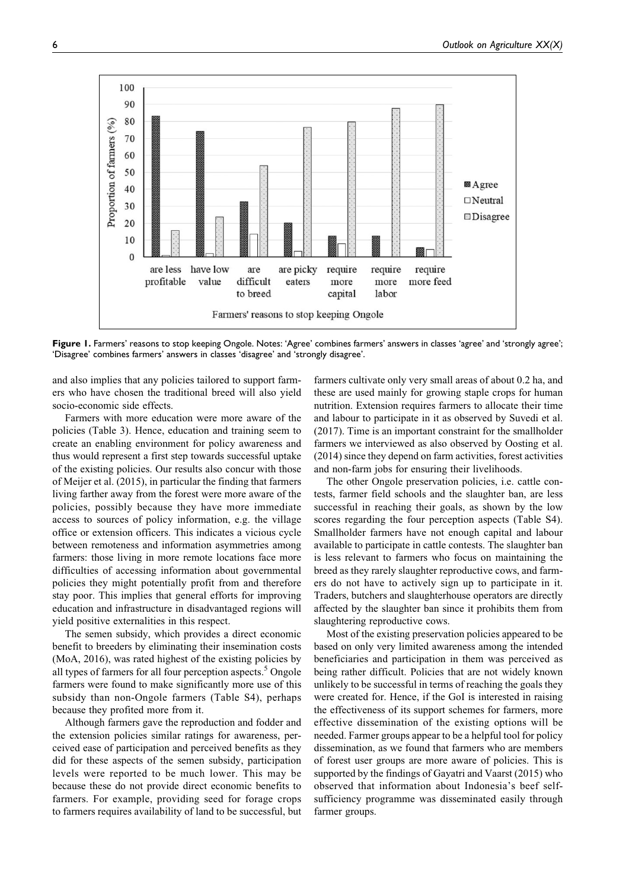

Figure 1. Farmers' reasons to stop keeping Ongole. Notes: 'Agree' combines farmers' answers in classes 'agree' and 'strongly agree'; 'Disagree' combines farmers' answers in classes 'disagree' and 'strongly disagree'.

and also implies that any policies tailored to support farmers who have chosen the traditional breed will also yield socio-economic side effects.

Farmers with more education were more aware of the policies (Table 3). Hence, education and training seem to create an enabling environment for policy awareness and thus would represent a first step towards successful uptake of the existing policies. Our results also concur with those of Meijer et al. (2015), in particular the finding that farmers living farther away from the forest were more aware of the policies, possibly because they have more immediate access to sources of policy information, e.g. the village office or extension officers. This indicates a vicious cycle between remoteness and information asymmetries among farmers: those living in more remote locations face more difficulties of accessing information about governmental policies they might potentially profit from and therefore stay poor. This implies that general efforts for improving education and infrastructure in disadvantaged regions will yield positive externalities in this respect.

The semen subsidy, which provides a direct economic benefit to breeders by eliminating their insemination costs (MoA, 2016), was rated highest of the existing policies by all types of farmers for all four perception aspects. $5$  Ongole farmers were found to make significantly more use of this subsidy than non-Ongole farmers (Table S4), perhaps because they profited more from it.

Although farmers gave the reproduction and fodder and the extension policies similar ratings for awareness, perceived ease of participation and perceived benefits as they did for these aspects of the semen subsidy, participation levels were reported to be much lower. This may be because these do not provide direct economic benefits to farmers. For example, providing seed for forage crops to farmers requires availability of land to be successful, but farmers cultivate only very small areas of about 0.2 ha, and these are used mainly for growing staple crops for human nutrition. Extension requires farmers to allocate their time and labour to participate in it as observed by Suvedi et al. (2017). Time is an important constraint for the smallholder farmers we interviewed as also observed by Oosting et al. (2014) since they depend on farm activities, forest activities and non-farm jobs for ensuring their livelihoods.

The other Ongole preservation policies, i.e. cattle contests, farmer field schools and the slaughter ban, are less successful in reaching their goals, as shown by the low scores regarding the four perception aspects (Table S4). Smallholder farmers have not enough capital and labour available to participate in cattle contests. The slaughter ban is less relevant to farmers who focus on maintaining the breed as they rarely slaughter reproductive cows, and farmers do not have to actively sign up to participate in it. Traders, butchers and slaughterhouse operators are directly affected by the slaughter ban since it prohibits them from slaughtering reproductive cows.

Most of the existing preservation policies appeared to be based on only very limited awareness among the intended beneficiaries and participation in them was perceived as being rather difficult. Policies that are not widely known unlikely to be successful in terms of reaching the goals they were created for. Hence, if the GoI is interested in raising the effectiveness of its support schemes for farmers, more effective dissemination of the existing options will be needed. Farmer groups appear to be a helpful tool for policy dissemination, as we found that farmers who are members of forest user groups are more aware of policies. This is supported by the findings of Gayatri and Vaarst (2015) who observed that information about Indonesia's beef selfsufficiency programme was disseminated easily through farmer groups.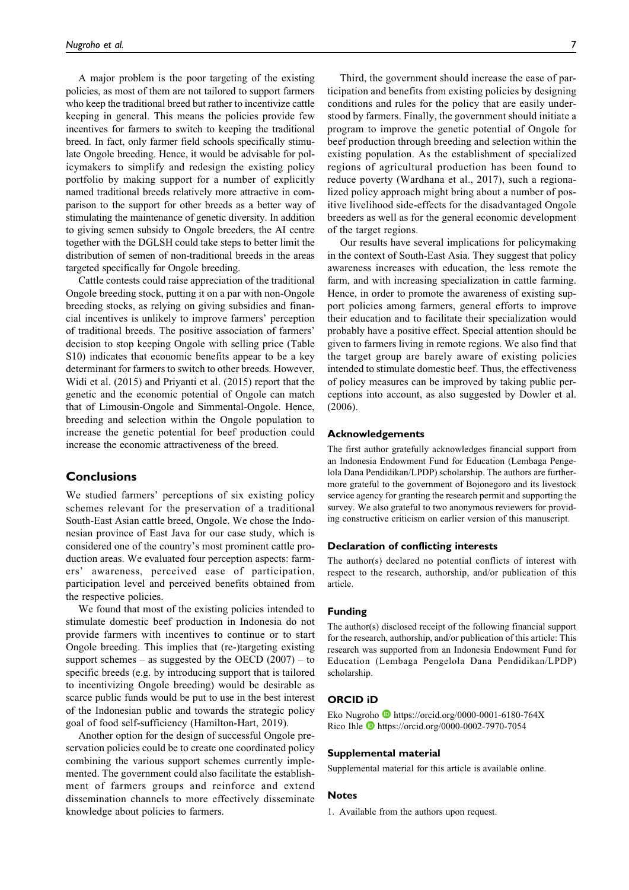A major problem is the poor targeting of the existing policies, as most of them are not tailored to support farmers who keep the traditional breed but rather to incentivize cattle keeping in general. This means the policies provide few incentives for farmers to switch to keeping the traditional breed. In fact, only farmer field schools specifically stimulate Ongole breeding. Hence, it would be advisable for policymakers to simplify and redesign the existing policy portfolio by making support for a number of explicitly named traditional breeds relatively more attractive in comparison to the support for other breeds as a better way of stimulating the maintenance of genetic diversity. In addition to giving semen subsidy to Ongole breeders, the AI centre together with the DGLSH could take steps to better limit the distribution of semen of non-traditional breeds in the areas targeted specifically for Ongole breeding.

Cattle contests could raise appreciation of the traditional Ongole breeding stock, putting it on a par with non-Ongole breeding stocks, as relying on giving subsidies and financial incentives is unlikely to improve farmers' perception of traditional breeds. The positive association of farmers' decision to stop keeping Ongole with selling price (Table S10) indicates that economic benefits appear to be a key determinant for farmers to switch to other breeds. However, Widi et al. (2015) and Priyanti et al. (2015) report that the genetic and the economic potential of Ongole can match that of Limousin-Ongole and Simmental-Ongole. Hence, breeding and selection within the Ongole population to increase the genetic potential for beef production could increase the economic attractiveness of the breed.

### **Conclusions**

We studied farmers' perceptions of six existing policy schemes relevant for the preservation of a traditional South-East Asian cattle breed, Ongole. We chose the Indonesian province of East Java for our case study, which is considered one of the country's most prominent cattle production areas. We evaluated four perception aspects: farmers' awareness, perceived ease of participation, participation level and perceived benefits obtained from the respective policies.

We found that most of the existing policies intended to stimulate domestic beef production in Indonesia do not provide farmers with incentives to continue or to start Ongole breeding. This implies that (re-)targeting existing support schemes – as suggested by the OECD  $(2007)$  – to specific breeds (e.g. by introducing support that is tailored to incentivizing Ongole breeding) would be desirable as scarce public funds would be put to use in the best interest of the Indonesian public and towards the strategic policy goal of food self-sufficiency (Hamilton-Hart, 2019).

Another option for the design of successful Ongole preservation policies could be to create one coordinated policy combining the various support schemes currently implemented. The government could also facilitate the establishment of farmers groups and reinforce and extend dissemination channels to more effectively disseminate knowledge about policies to farmers.

Third, the government should increase the ease of participation and benefits from existing policies by designing conditions and rules for the policy that are easily understood by farmers. Finally, the government should initiate a program to improve the genetic potential of Ongole for beef production through breeding and selection within the existing population. As the establishment of specialized regions of agricultural production has been found to reduce poverty (Wardhana et al., 2017), such a regionalized policy approach might bring about a number of positive livelihood side-effects for the disadvantaged Ongole breeders as well as for the general economic development of the target regions.

Our results have several implications for policymaking in the context of South-East Asia. They suggest that policy awareness increases with education, the less remote the farm, and with increasing specialization in cattle farming. Hence, in order to promote the awareness of existing support policies among farmers, general efforts to improve their education and to facilitate their specialization would probably have a positive effect. Special attention should be given to farmers living in remote regions. We also find that the target group are barely aware of existing policies intended to stimulate domestic beef. Thus, the effectiveness of policy measures can be improved by taking public perceptions into account, as also suggested by Dowler et al. (2006).

#### **Acknowledgements**

The first author gratefully acknowledges financial support from an Indonesia Endowment Fund for Education (Lembaga Pengelola Dana Pendidikan/LPDP) scholarship. The authors are furthermore grateful to the government of Bojonegoro and its livestock service agency for granting the research permit and supporting the survey. We also grateful to two anonymous reviewers for providing constructive criticism on earlier version of this manuscript.

#### **Declaration of conflicting interests**

The author(s) declared no potential conflicts of interest with respect to the research, authorship, and/or publication of this article.

#### **Funding**

The author(s) disclosed receipt of the following financial support for the research, authorship, and/or publication of this article: This research was supported from an Indonesia Endowment Fund for Education (Lembaga Pengelola Dana Pendidikan/LPDP) scholarship.

#### **ORCID iD**

Eko Nugroho  $\bullet$  <https://orcid.org/0000-0001-6180-764X> Rico Ihle <https://orcid.org/0000-0002-7970-7054>

#### **Supplemental material**

Supplemental material for this article is available online.

#### **Notes**

1. Available from the authors upon request.